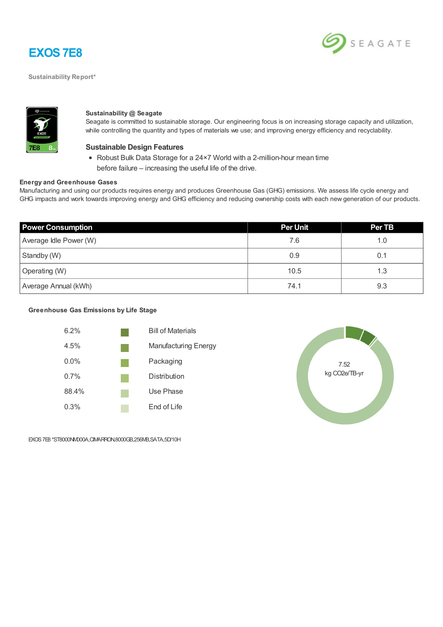

**Sustainability Report\***





#### **Sustainability @ Seagate**

Seagate is committed to sustainable storage. Our engineering focus is on increasing storage capacity and utilization, while controlling the quantity and types of materials we use; and improving energy efficiency and recyclability.

#### **Sustainable Design Features**

Robust Bulk Data Storage for a 24×7 World with a 2-million-hour mean time before failure – increasing the useful life of the drive.

#### **Energy and Greenhouse Gases**

Manufacturing and using our products requires energy and produces Greenhouse Gas (GHG) emissions. We assess life cycle energy and GHG impacts and work towards improving energy and GHG efficiency and reducing ownership costs with each new generation of our products.

| <b>Power Consumption</b> | <b>Per Unit</b> | Per TB |
|--------------------------|-----------------|--------|
| Average Idle Power (W)   | 7.6             | 1.0    |
| Standby (W)              | 0.9             | 0.1    |
| Operating (W)            | 10.5            | 1.3    |
| Average Annual (kWh)     | 74.1            | 9.3    |

### **Greenhouse Gas Emissions by Life Stage**





EXOS7E8 \*ST8000NM000A,CIMARRON,8000GB,256MB,SATA,5D/10H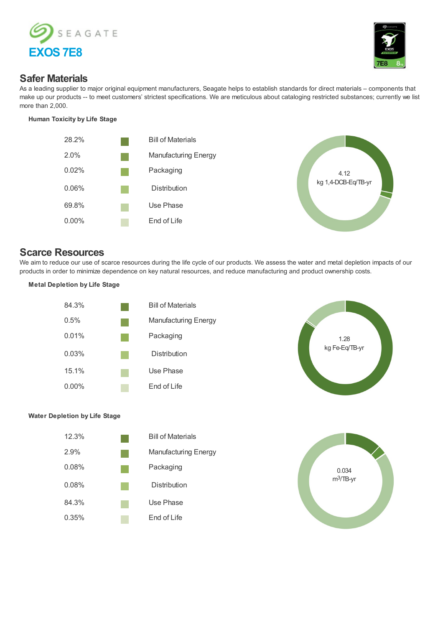



## **Safer Materials**

As a leading supplier to major original equipment manufacturers, Seagate helps to establish standards for direct materials – components that make up our products -- to meet customers' strictest specifications. We are meticulous about cataloging restricted substances; currently we list more than 2,000.

#### **Human Toxicity by Life Stage**





# **Scarce Resources**

We aim to reduce our use of scarce resources during the life cycle of our products. We assess the water and metal depletion impacts of our products in order to minimize dependence on key natural resources, and reduce manufacturing and product ownership costs.

#### **Metal Depletion by Life Stage**





### **Water Depletion by Life Stage**